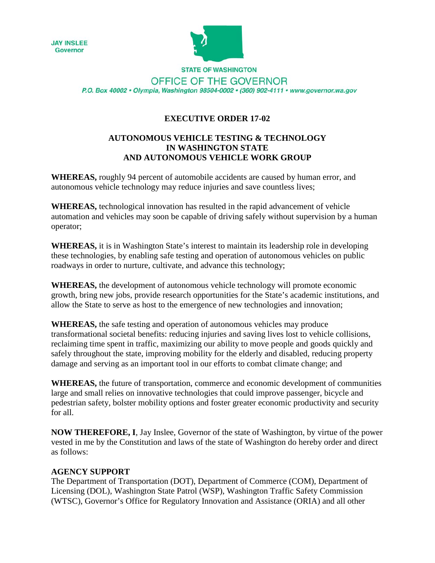



**STATE OF WASHINGTON** OFFICE OF THE GOVERNOR P.O. Box 40002 · Olympia, Washington 98504-0002 · (360) 902-4111 · www.governor.wa.gov

## **EXECUTIVE ORDER 17-02**

### **AUTONOMOUS VEHICLE TESTING & TECHNOLOGY IN WASHINGTON STATE AND AUTONOMOUS VEHICLE WORK GROUP**

**WHEREAS,** roughly 94 percent of automobile accidents are caused by human error, and autonomous vehicle technology may reduce injuries and save countless lives;

**WHEREAS,** technological innovation has resulted in the rapid advancement of vehicle automation and vehicles may soon be capable of driving safely without supervision by a human operator;

**WHEREAS,** it is in Washington State's interest to maintain its leadership role in developing these technologies, by enabling safe testing and operation of autonomous vehicles on public roadways in order to nurture, cultivate, and advance this technology;

**WHEREAS,** the development of autonomous vehicle technology will promote economic growth, bring new jobs, provide research opportunities for the State's academic institutions, and allow the State to serve as host to the emergence of new technologies and innovation;

**WHEREAS,** the safe testing and operation of autonomous vehicles may produce transformational societal benefits: reducing injuries and saving lives lost to vehicle collisions, reclaiming time spent in traffic, maximizing our ability to move people and goods quickly and safely throughout the state, improving mobility for the elderly and disabled, reducing property damage and serving as an important tool in our efforts to combat climate change; and

**WHEREAS,** the future of transportation, commerce and economic development of communities large and small relies on innovative technologies that could improve passenger, bicycle and pedestrian safety, bolster mobility options and foster greater economic productivity and security for all.

**NOW THEREFORE, I**, Jay Inslee, Governor of the state of Washington, by virtue of the power vested in me by the Constitution and laws of the state of Washington do hereby order and direct as follows:

### **AGENCY SUPPORT**

The Department of Transportation (DOT), Department of Commerce (COM), Department of Licensing (DOL), Washington State Patrol (WSP), Washington Traffic Safety Commission (WTSC), Governor's Office for Regulatory Innovation and Assistance (ORIA) and all other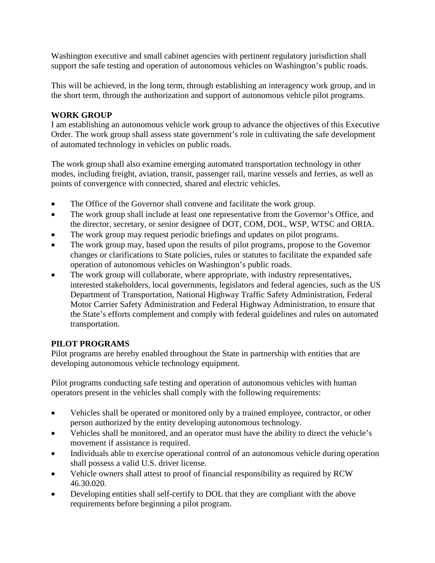Washington executive and small cabinet agencies with pertinent regulatory jurisdiction shall support the safe testing and operation of autonomous vehicles on Washington's public roads.

This will be achieved, in the long term, through establishing an interagency work group, and in the short term, through the authorization and support of autonomous vehicle pilot programs.

## **WORK GROUP**

I am establishing an autonomous vehicle work group to advance the objectives of this Executive Order. The work group shall assess state government's role in cultivating the safe development of automated technology in vehicles on public roads.

The work group shall also examine emerging automated transportation technology in other modes, including freight, aviation, transit, passenger rail, marine vessels and ferries, as well as points of convergence with connected, shared and electric vehicles.

- The Office of the Governor shall convene and facilitate the work group.
- The work group shall include at least one representative from the Governor's Office, and the director, secretary, or senior designee of DOT, COM, DOL, WSP, WTSC and ORIA.
- The work group may request periodic briefings and updates on pilot programs.
- The work group may, based upon the results of pilot programs, propose to the Governor changes or clarifications to State policies, rules or statutes to facilitate the expanded safe operation of autonomous vehicles on Washington's public roads.
- The work group will collaborate, where appropriate, with industry representatives, interested stakeholders, local governments, legislators and federal agencies, such as the US Department of Transportation, National Highway Traffic Safety Administration, Federal Motor Carrier Safety Administration and Federal Highway Administration, to ensure that the State's efforts complement and comply with federal guidelines and rules on automated transportation.

# **PILOT PROGRAMS**

Pilot programs are hereby enabled throughout the State in partnership with entities that are developing autonomous vehicle technology equipment.

Pilot programs conducting safe testing and operation of autonomous vehicles with human operators present in the vehicles shall comply with the following requirements:

- Vehicles shall be operated or monitored only by a trained employee, contractor, or other person authorized by the entity developing autonomous technology.
- Vehicles shall be monitored, and an operator must have the ability to direct the vehicle's movement if assistance is required.
- Individuals able to exercise operational control of an autonomous vehicle during operation shall possess a valid U.S. driver license.
- Vehicle owners shall attest to proof of financial responsibility as required by RCW 46.30.020.
- Developing entities shall self-certify to DOL that they are compliant with the above requirements before beginning a pilot program.